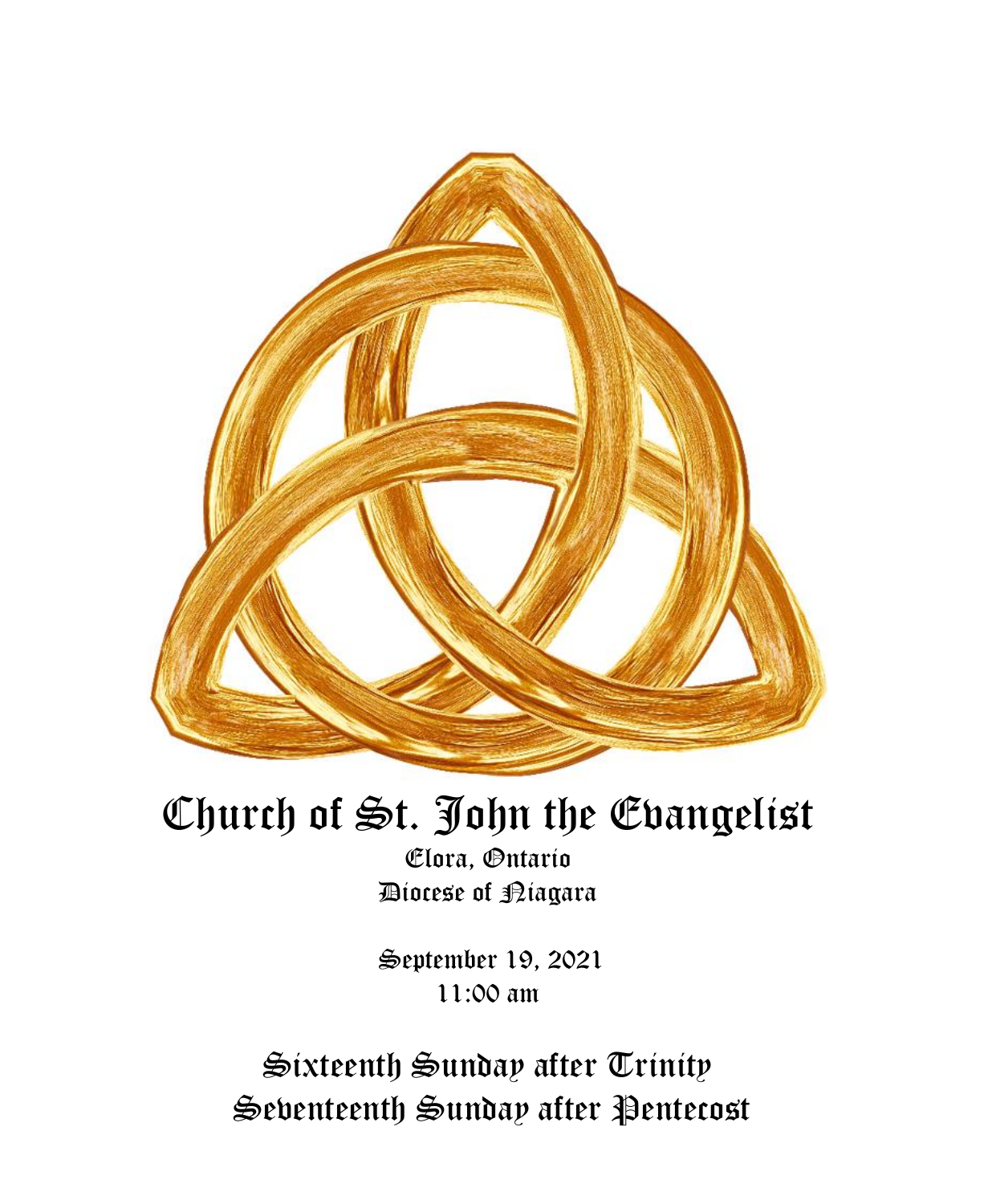

# Church of St. John the Evangelist

Elora, Ontario Diocese of Niagara

September 19, 2021 11:00 am

Sixteenth Sunday after Trinity Seventeenth Sunday after Pentecost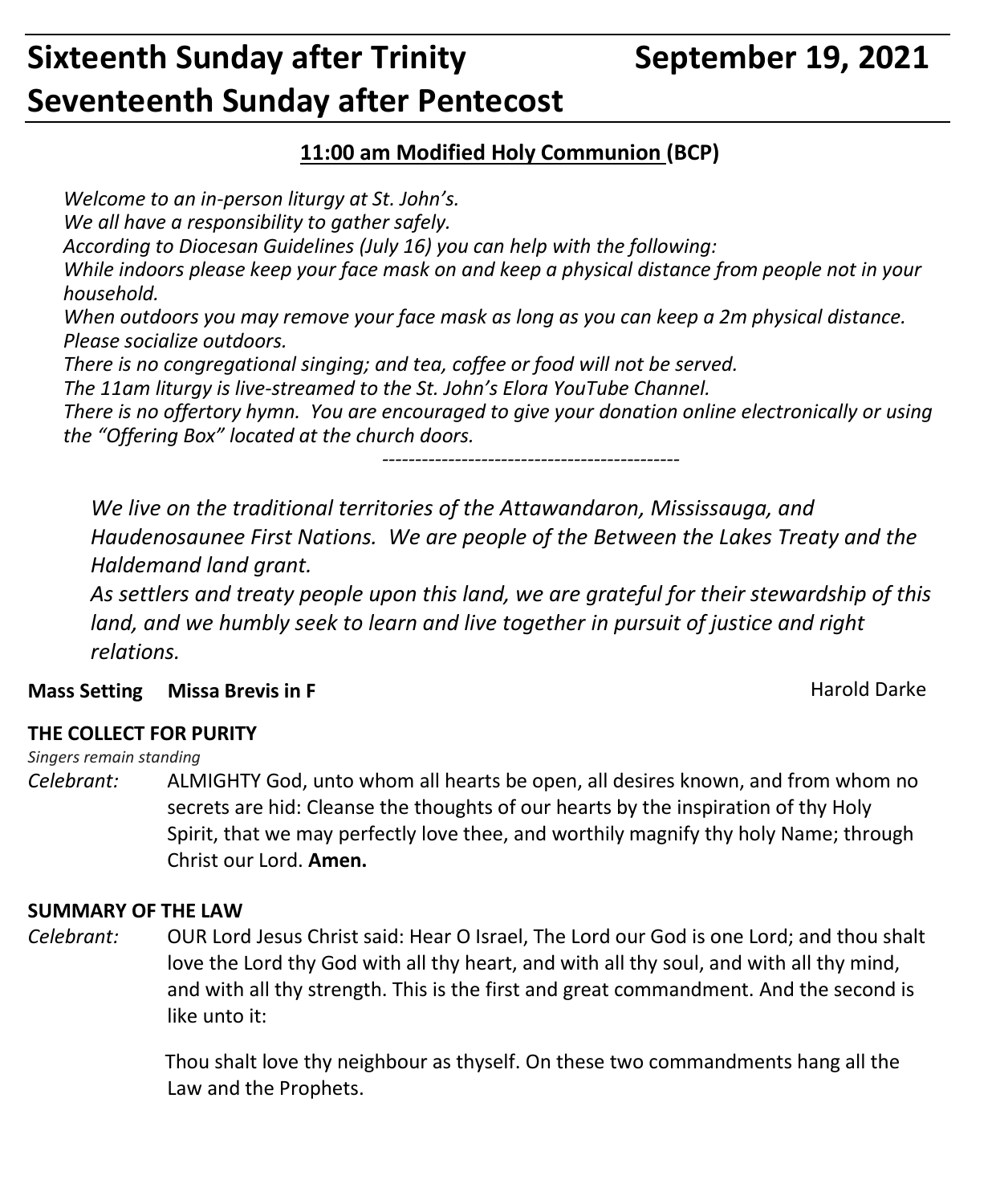## **Sixteenth Sunday after Trinity September 19, 2021 Seventeenth Sunday after Pentecost**

#### **11:00 am Modified Holy Communion (BCP)**

*Welcome to an in-person liturgy at St. John's.*

*We all have a responsibility to gather safely.*

*According to Diocesan Guidelines (July 16) you can help with the following:*

*While indoors please keep your face mask on and keep a physical distance from people not in your household.*

*When outdoors you may remove your face mask as long as you can keep a 2m physical distance. Please socialize outdoors.*

*There is no congregational singing; and tea, coffee or food will not be served.*

*The 11am liturgy is live-streamed to the St. John's Elora YouTube Channel.*

*There is no offertory hymn. You are encouraged to give your donation online electronically or using the "Offering Box" located at the church doors.*

*---------------------------------------------*

*We live on the traditional territories of the Attawandaron, Mississauga, and Haudenosaunee First Nations. We are people of the Between the Lakes Treaty and the Haldemand land grant.*

*As settlers and treaty people upon this land, we are grateful for their stewardship of this land, and we humbly seek to learn and live together in pursuit of justice and right relations.*

#### **Mass Setting Missa Brevis in F Mass Setting Missa Brevis in F** And Allen Mass Setting Marold Darke

#### **THE COLLECT FOR PURITY**

#### *Singers remain standing*

*Celebrant:* ALMIGHTY God, unto whom all hearts be open, all desires known, and from whom no secrets are hid: Cleanse the thoughts of our hearts by the inspiration of thy Holy Spirit, that we may perfectly love thee, and worthily magnify thy holy Name; through Christ our Lord. **Amen.**

#### **SUMMARY OF THE LAW**

*Celebrant:* OUR Lord Jesus Christ said: Hear O Israel, The Lord our God is one Lord; and thou shalt love the Lord thy God with all thy heart, and with all thy soul, and with all thy mind, and with all thy strength. This is the first and great commandment. And the second is like unto it:

> Thou shalt love thy neighbour as thyself. On these two commandments hang all the Law and the Prophets.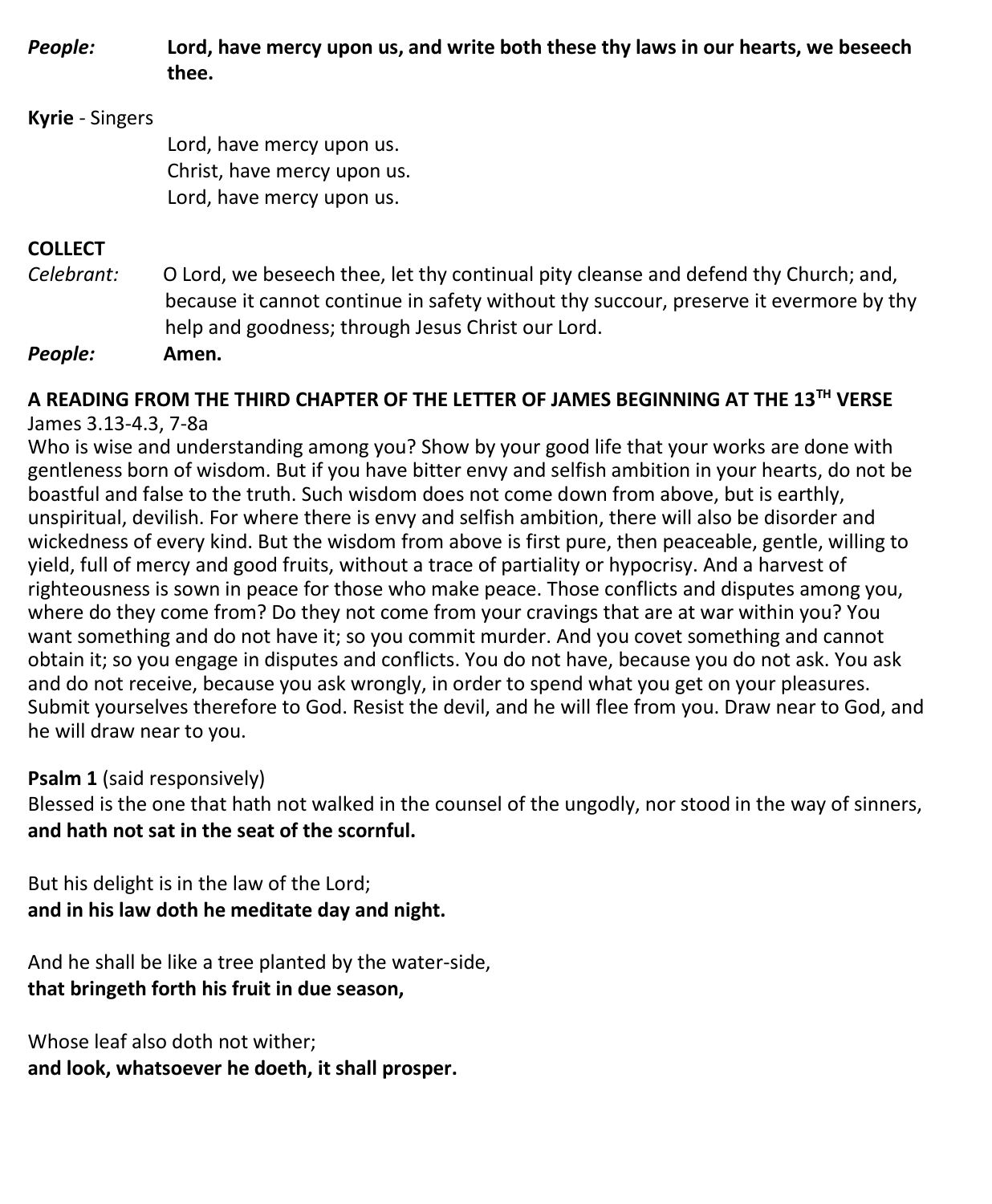*People:* **Lord, have mercy upon us, and write both these thy laws in our hearts, we beseech thee.**

#### **Kyrie** - Singers

Lord, have mercy upon us. Christ, have mercy upon us. Lord, have mercy upon us.

#### **COLLECT**

*Celebrant:* O Lord, we beseech thee, let thy continual pity cleanse and defend thy Church; and, because it cannot continue in safety without thy succour, preserve it evermore by thy help and goodness; through Jesus Christ our Lord.

*People:* **Amen.**

## **A READING FROM THE THIRD CHAPTER OF THE LETTER OF JAMES BEGINNING AT THE 13TH VERSE**

#### James 3.13-4.3, 7-8a

Who is wise and understanding among you? Show by your good life that your works are done with gentleness born of wisdom. But if you have bitter envy and selfish ambition in your hearts, do not be boastful and false to the truth. Such wisdom does not come down from above, but is earthly, unspiritual, devilish. For where there is envy and selfish ambition, there will also be disorder and wickedness of every kind. But the wisdom from above is first pure, then peaceable, gentle, willing to yield, full of mercy and good fruits, without a trace of partiality or hypocrisy. And a harvest of righteousness is sown in peace for those who make peace. Those conflicts and disputes among you, where do they come from? Do they not come from your cravings that are at war within you? You want something and do not have it; so you commit murder. And you covet something and cannot obtain it; so you engage in disputes and conflicts. You do not have, because you do not ask. You ask and do not receive, because you ask wrongly, in order to spend what you get on your pleasures. Submit yourselves therefore to God. Resist the devil, and he will flee from you. Draw near to God, and he will draw near to you.

#### **Psalm 1** (said responsively)

Blessed is the one that hath not walked in the counsel of the ungodly, nor stood in the way of sinners, **and hath not sat in the seat of the scornful.**

But his delight is in the law of the Lord; **and in his law doth he meditate day and night.**

And he shall be like a tree planted by the water-side, **that bringeth forth his fruit in due season,**

Whose leaf also doth not wither; **and look, whatsoever he doeth, it shall prosper.**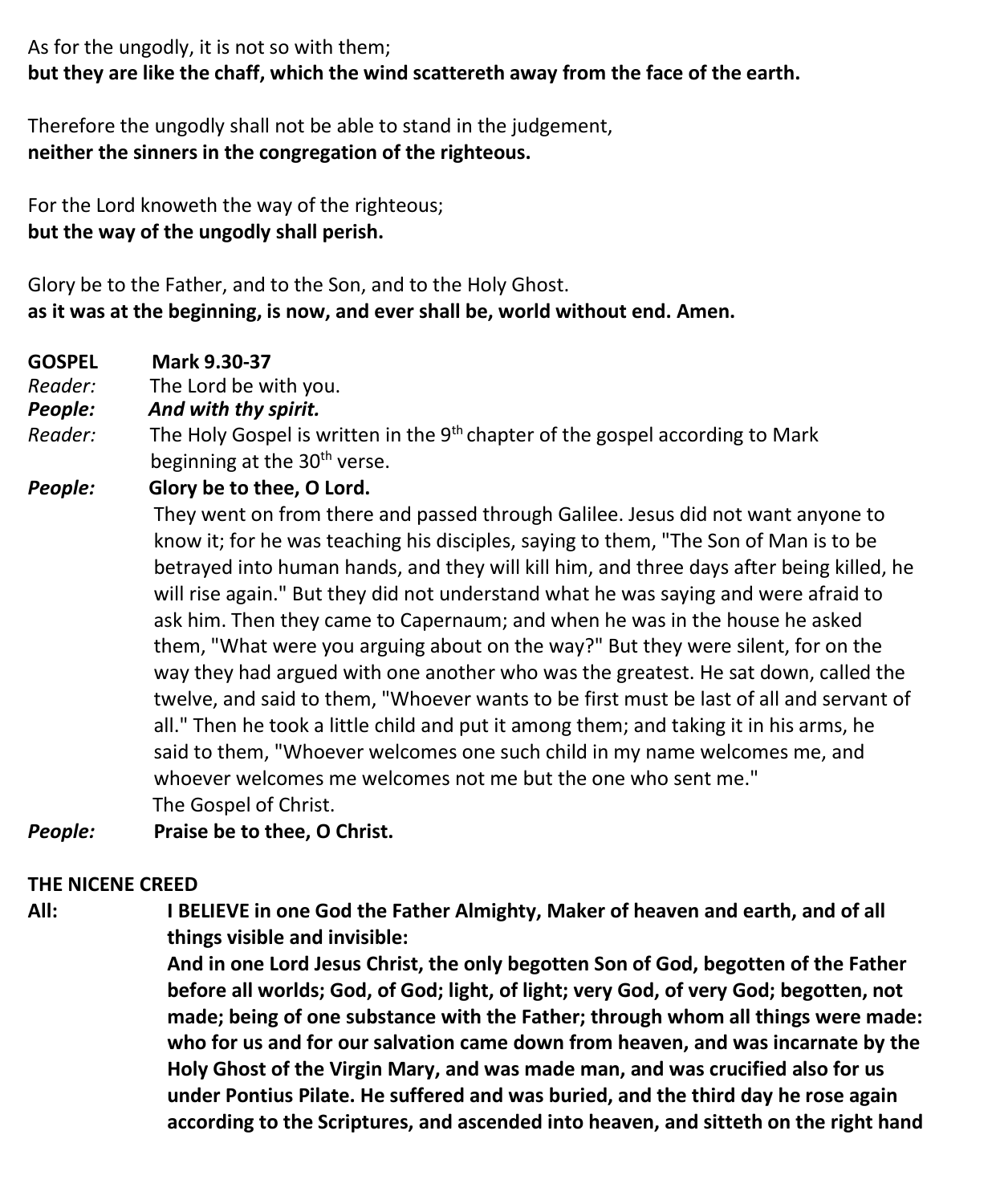As for the ungodly, it is not so with them; **but they are like the chaff, which the wind scattereth away from the face of the earth.**

Therefore the ungodly shall not be able to stand in the judgement, **neither the sinners in the congregation of the righteous.**

For the Lord knoweth the way of the righteous; **but the way of the ungodly shall perish.**

Glory be to the Father, and to the Son, and to the Holy Ghost. **as it was at the beginning, is now, and ever shall be, world without end. Amen.**

- **GOSPEL Mark 9.30-37**
- *Reader:*The Lord be with you.
- *People: And with thy spirit.*
- Reader: The Holy Gospel is written in the 9<sup>th</sup> chapter of the gospel according to Mark beginning at the 30<sup>th</sup> verse.
- *People:* **Glory be to thee, O Lord.**

They went on from there and passed through Galilee. Jesus did not want anyone to know it; for he was teaching his disciples, saying to them, "The Son of Man is to be betrayed into human hands, and they will kill him, and three days after being killed, he will rise again." But they did not understand what he was saying and were afraid to ask him. Then they came to Capernaum; and when he was in the house he asked them, "What were you arguing about on the way?" But they were silent, for on the way they had argued with one another who was the greatest. He sat down, called the twelve, and said to them, "Whoever wants to be first must be last of all and servant of all." Then he took a little child and put it among them; and taking it in his arms, he said to them, "Whoever welcomes one such child in my name welcomes me, and whoever welcomes me welcomes not me but the one who sent me." The Gospel of Christ.

*People:* **Praise be to thee, O Christ.**

#### **THE NICENE CREED**

**All: I BELIEVE in one God the Father Almighty, Maker of heaven and earth, and of all things visible and invisible:**

> **And in one Lord Jesus Christ, the only begotten Son of God, begotten of the Father before all worlds; God, of God; light, of light; very God, of very God; begotten, not made; being of one substance with the Father; through whom all things were made: who for us and for our salvation came down from heaven, and was incarnate by the Holy Ghost of the Virgin Mary, and was made man, and was crucified also for us under Pontius Pilate. He suffered and was buried, and the third day he rose again according to the Scriptures, and ascended into heaven, and sitteth on the right hand**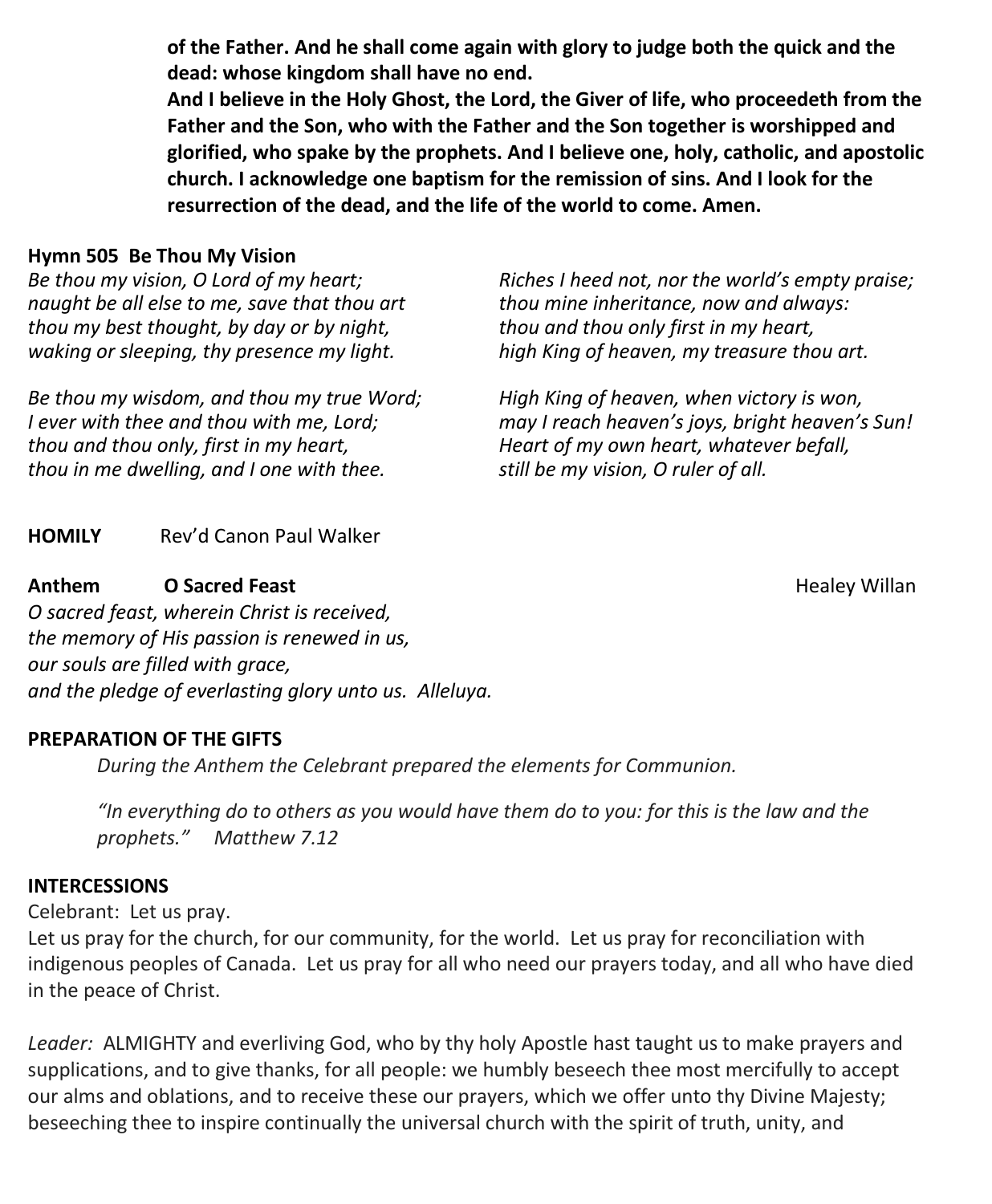**of the Father. And he shall come again with glory to judge both the quick and the dead: whose kingdom shall have no end.**

**And I believe in the Holy Ghost, the Lord, the Giver of life, who proceedeth from the Father and the Son, who with the Father and the Son together is worshipped and glorified, who spake by the prophets. And I believe one, holy, catholic, and apostolic church. I acknowledge one baptism for the remission of sins. And I look for the resurrection of the dead, and the life of the world to come. Amen.**

#### **Hymn 505 Be Thou My Vision**

*Be thou my vision, O Lord of my heart; naught be all else to me, save that thou art thou my best thought, by day or by night, waking or sleeping, thy presence my light.*

*Be thou my wisdom, and thou my true Word; I ever with thee and thou with me, Lord; thou and thou only, first in my heart, thou in me dwelling, and I one with thee.*

*Riches I heed not, nor the world's empty praise; thou mine inheritance, now and always: thou and thou only first in my heart, high King of heaven, my treasure thou art.*

*High King of heaven, when victory is won, may I reach heaven's joys, bright heaven's Sun! Heart of my own heart, whatever befall, still be my vision, O ruler of all.*

**HOMILY** Rev'd Canon Paul Walker

#### **Anthem Cancel Feast Communication Communication Communication Communication Communication Communication Communication Communication Communication Communication Communication Communication Communication Communication Commu**

*O sacred feast, wherein Christ is received, the memory of His passion is renewed in us, our souls are filled with grace, and the pledge of everlasting glory unto us. Alleluya.*

#### **PREPARATION OF THE GIFTS**

*During the Anthem the Celebrant prepared the elements for Communion.*

*"In everything do to others as you would have them do to you: for this is the law and the prophets." Matthew 7.12*

#### **INTERCESSIONS**

Celebrant: Let us pray.

Let us pray for the church, for our community, for the world. Let us pray for reconciliation with indigenous peoples of Canada. Let us pray for all who need our prayers today, and all who have died in the peace of Christ.

*Leader:* ALMIGHTY and everliving God, who by thy holy Apostle hast taught us to make prayers and supplications, and to give thanks, for all people: we humbly beseech thee most mercifully to accept our alms and oblations, and to receive these our prayers, which we offer unto thy Divine Majesty; beseeching thee to inspire continually the universal church with the spirit of truth, unity, and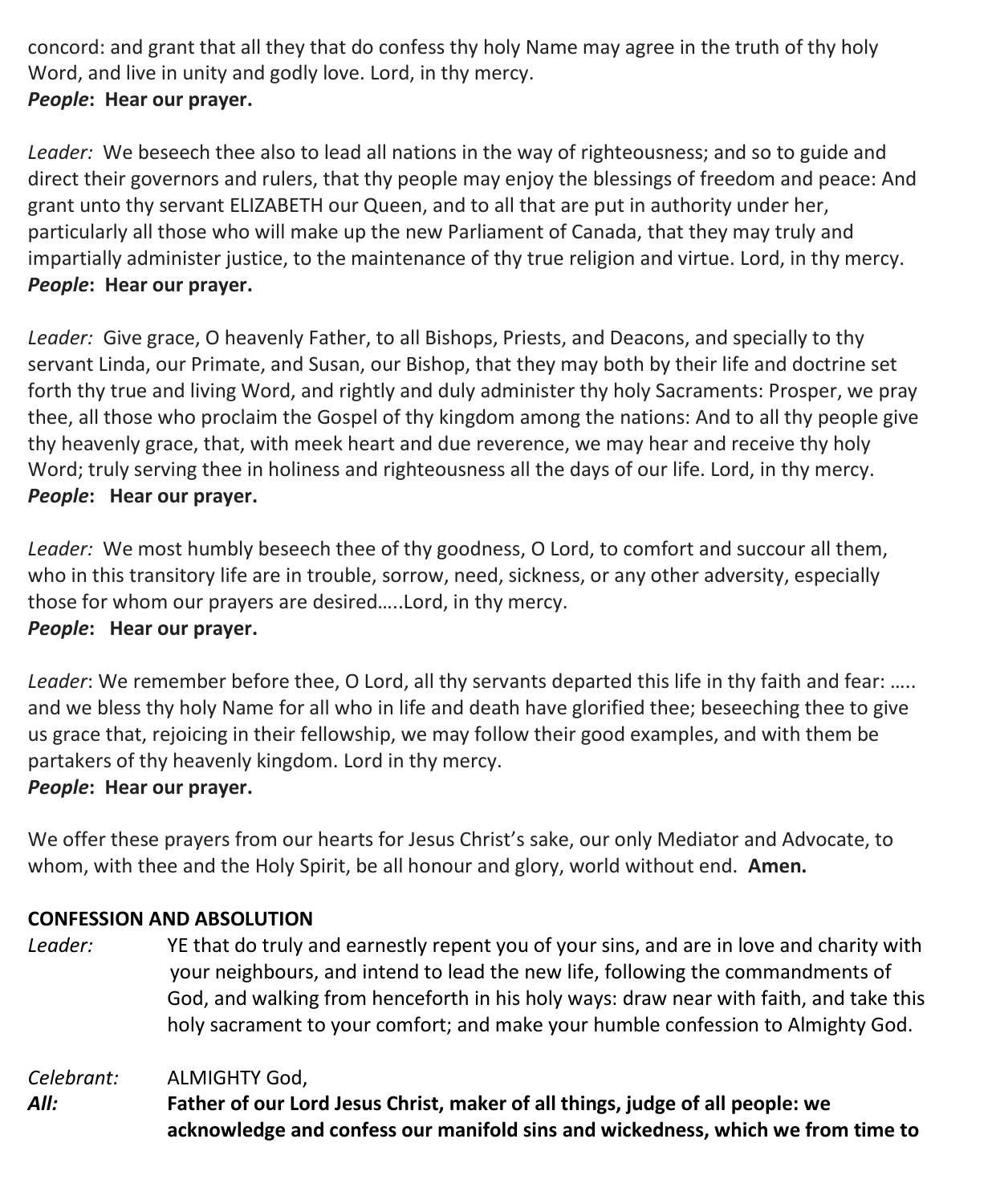concord: and grant that all they that do confess thy holy Name may agree in the truth of thy holy Word, and live in unity and godly love. Lord, in thy mercy. *People***: Hear our prayer.**

*Leader:* We beseech thee also to lead all nations in the way of righteousness; and so to guide and direct their governors and rulers, that thy people may enjoy the blessings of freedom and peace: And grant unto thy servant ELIZABETH our Queen, and to all that are put in authority under her, particularly all those who will make up the new Parliament of Canada, that they may truly and impartially administer justice, to the maintenance of thy true religion and virtue. Lord, in thy mercy. *People***: Hear our prayer.**

*Leader:* Give grace, O heavenly Father, to all Bishops, Priests, and Deacons, and specially to thy servant Linda, our Primate, and Susan, our Bishop, that they may both by their life and doctrine set forth thy true and living Word, and rightly and duly administer thy holy Sacraments: Prosper, we pray thee, all those who proclaim the Gospel of thy kingdom among the nations: And to all thy people give thy heavenly grace, that, with meek heart and due reverence, we may hear and receive thy holy Word; truly serving thee in holiness and righteousness all the days of our life. Lord, in thy mercy. *People***: Hear our prayer.**

*Leader:* We most humbly beseech thee of thy goodness, O Lord, to comfort and succour all them, who in this transitory life are in trouble, sorrow, need, sickness, or any other adversity, especially those for whom our prayers are desired…..Lord, in thy mercy. *People***: Hear our prayer.**

*Leader*: We remember before thee, O Lord, all thy servants departed this life in thy faith and fear: ….. and we bless thy holy Name for all who in life and death have glorified thee; beseeching thee to give us grace that, rejoicing in their fellowship, we may follow their good examples, and with them be partakers of thy heavenly kingdom. Lord in thy mercy.

#### *People***: Hear our prayer.**

We offer these prayers from our hearts for Jesus Christ's sake, our only Mediator and Advocate, to whom, with thee and the Holy Spirit, be all honour and glory, world without end. **Amen.**

#### **CONFESSION AND ABSOLUTION**

*Leader:* YE that do truly and earnestly repent you of your sins, and are in love and charity with your neighbours, and intend to lead the new life, following the commandments of God, and walking from henceforth in his holy ways: draw near with faith, and take this holy sacrament to your comfort; and make your humble confession to Almighty God.

*Celebrant:* ALMIGHTY God,

*All:* **Father of our Lord Jesus Christ, maker of all things, judge of all people: we acknowledge and confess our manifold sins and wickedness, which we from time to**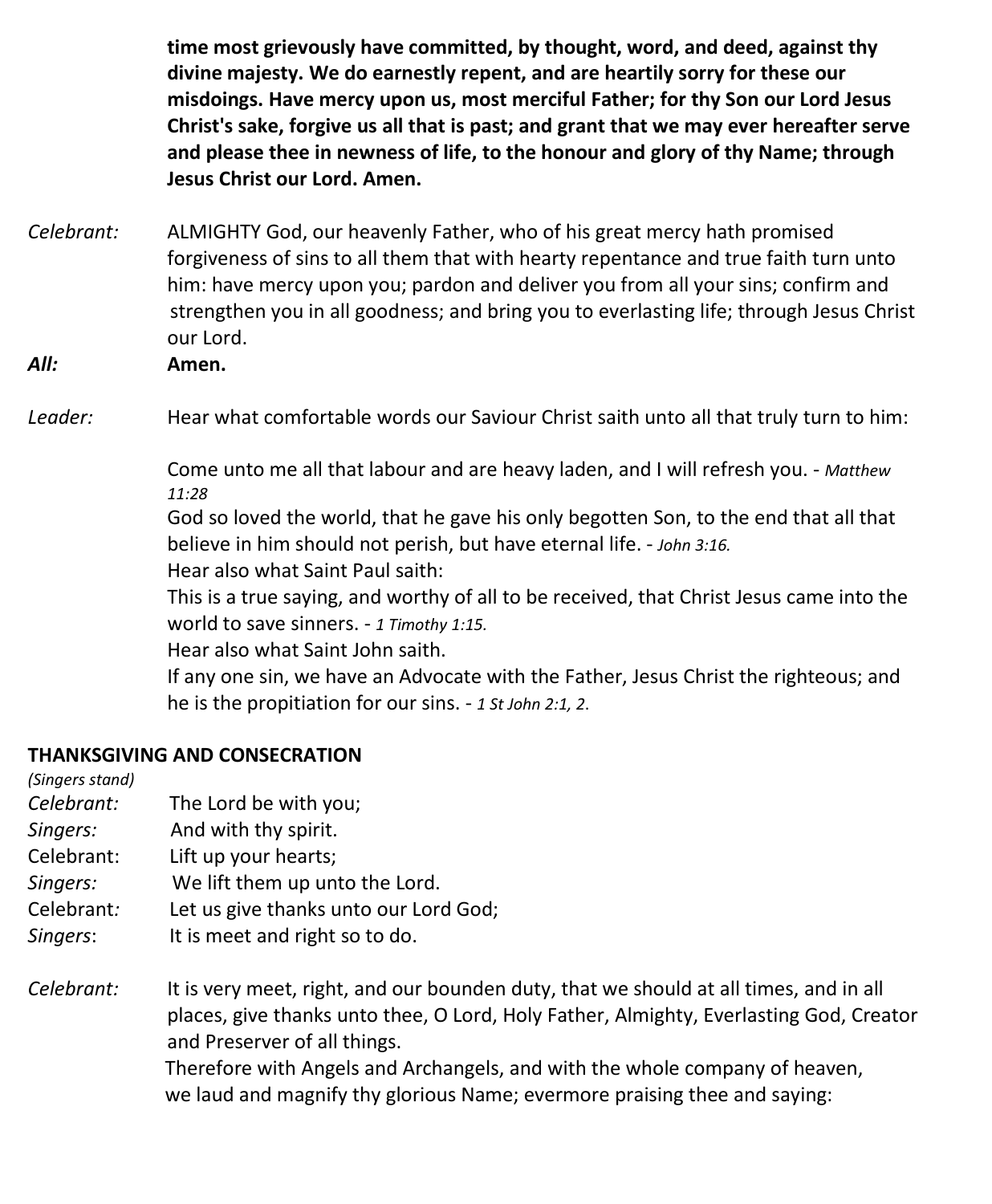**time most grievously have committed, by thought, word, and deed, against thy divine majesty. We do earnestly repent, and are heartily sorry for these our misdoings. Have mercy upon us, most merciful Father; for thy Son our Lord Jesus Christ's sake, forgive us all that is past; and grant that we may ever hereafter serve and please thee in newness of life, to the honour and glory of thy Name; through Jesus Christ our Lord. Amen.**

- *Celebrant:* ALMIGHTY God, our heavenly Father, who of his great mercy hath promised forgiveness of sins to all them that with hearty repentance and true faith turn unto him: have mercy upon you; pardon and deliver you from all your sins; confirm and strengthen you in all goodness; and bring you to everlasting life; through Jesus Christ our Lord.
- *All:* **Amen.**

Leader: **Hear what comfortable words our Saviour Christ saith unto all that truly turn to him:** 

Come unto me all that labour and are heavy laden, and I will refresh you. - *Matthew 11:28*

God so loved the world, that he gave his only begotten Son, to the end that all that believe in him should not perish, but have eternal life. - *John 3:16.* Hear also what Saint Paul saith:

This is a true saying, and worthy of all to be received, that Christ Jesus came into the world to save sinners. - *1 Timothy 1:15.*

Hear also what Saint John saith.

If any one sin, we have an Advocate with the Father, Jesus Christ the righteous; and he is the propitiation for our sins. - *1 St John 2:1, 2*.

#### **THANKSGIVING AND CONSECRATION**

*(Singers stand) Celebrant:* The Lord be with you; *Singers:* And with thy spirit. Celebrant: Lift up your hearts; *Singers:* We lift them up unto the Lord. Celebrant*:* Let us give thanks unto our Lord God; *Singers*: It is meet and right so to do. *Celebrant:* It is very meet, right, and our bounden duty, that we should at all times, and in all places, give thanks unto thee, O Lord, Holy Father, Almighty, Everlasting God, Creator and Preserver of all things. Therefore with Angels and Archangels, and with the whole company of heaven,

we laud and magnify thy glorious Name; evermore praising thee and saying: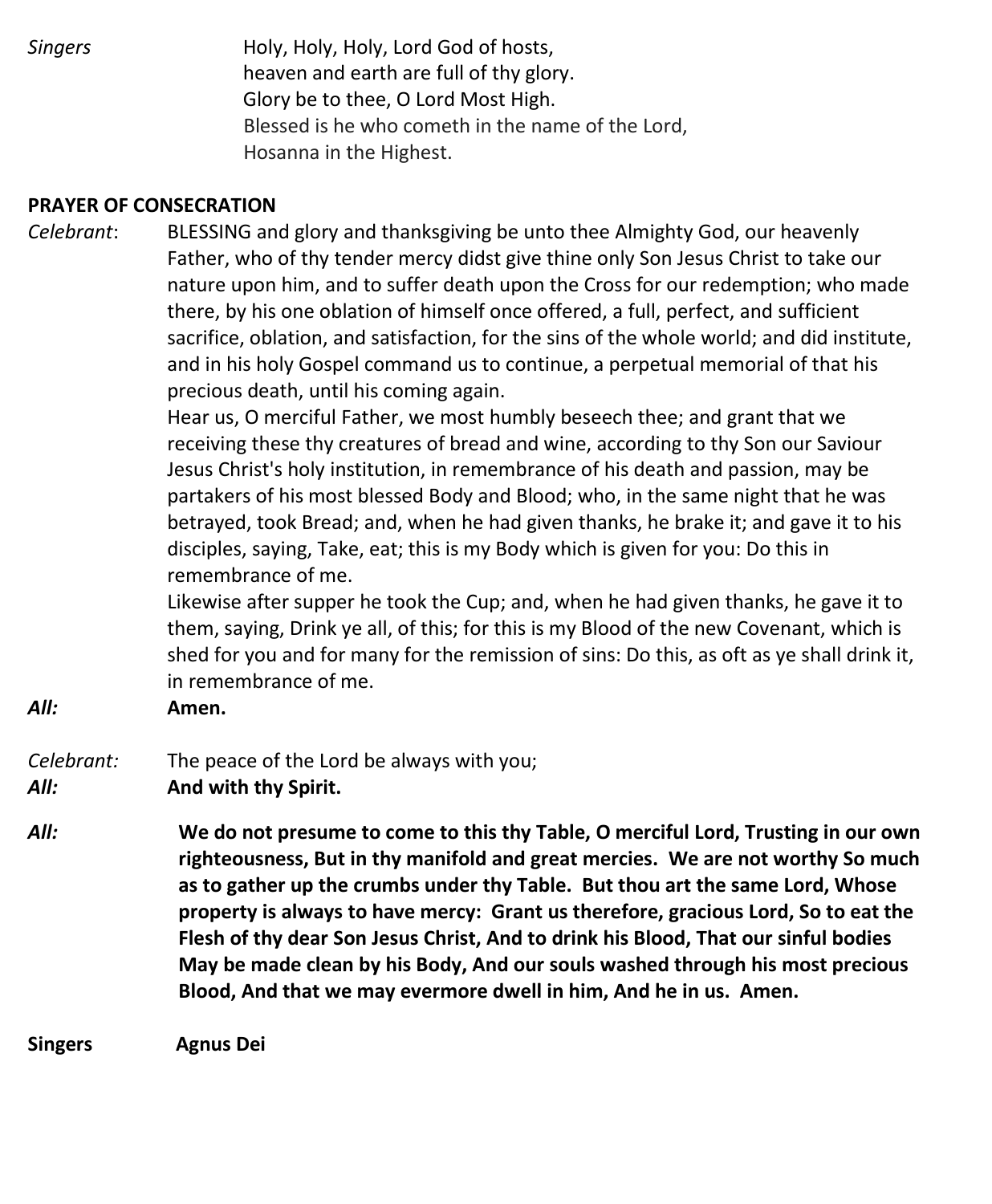*Singers* **Holy, Holy, Holy, Lord God of hosts,**  heaven and earth are full of thy glory. Glory be to thee, O Lord Most High. Blessed is he who cometh in the name of the Lord, Hosanna in the Highest.

#### **PRAYER OF CONSECRATION**

*Celebrant*: BLESSING and glory and thanksgiving be unto thee Almighty God, our heavenly Father, who of thy tender mercy didst give thine only Son Jesus Christ to take our nature upon him, and to suffer death upon the Cross for our redemption; who made there, by his one oblation of himself once offered, a full, perfect, and sufficient sacrifice, oblation, and satisfaction, for the sins of the whole world; and did institute, and in his holy Gospel command us to continue, a perpetual memorial of that his precious death, until his coming again.

> Hear us, O merciful Father, we most humbly beseech thee; and grant that we receiving these thy creatures of bread and wine, according to thy Son our Saviour Jesus Christ's holy institution, in remembrance of his death and passion, may be partakers of his most blessed Body and Blood; who, in the same night that he was betrayed, took Bread; and, when he had given thanks, he brake it; and gave it to his disciples, saying, Take, eat; this is my Body which is given for you: Do this in remembrance of me.

Likewise after supper he took the Cup; and, when he had given thanks, he gave it to them, saying, Drink ye all, of this; for this is my Blood of the new Covenant, which is shed for you and for many for the remission of sins: Do this, as oft as ye shall drink it, in remembrance of me.

*All:* **Amen.**

#### *Celebrant:* The peace of the Lord be always with you; *All:* **And with thy Spirit.**

*All:* **We do not presume to come to this thy Table, O merciful Lord, Trusting in our own righteousness, But in thy manifold and great mercies. We are not worthy So much as to gather up the crumbs under thy Table. But thou art the same Lord, Whose property is always to have mercy: Grant us therefore, gracious Lord, So to eat the Flesh of thy dear Son Jesus Christ, And to drink his Blood, That our sinful bodies May be made clean by his Body, And our souls washed through his most precious Blood, And that we may evermore dwell in him, And he in us. Amen.**

**Singers Agnus Dei**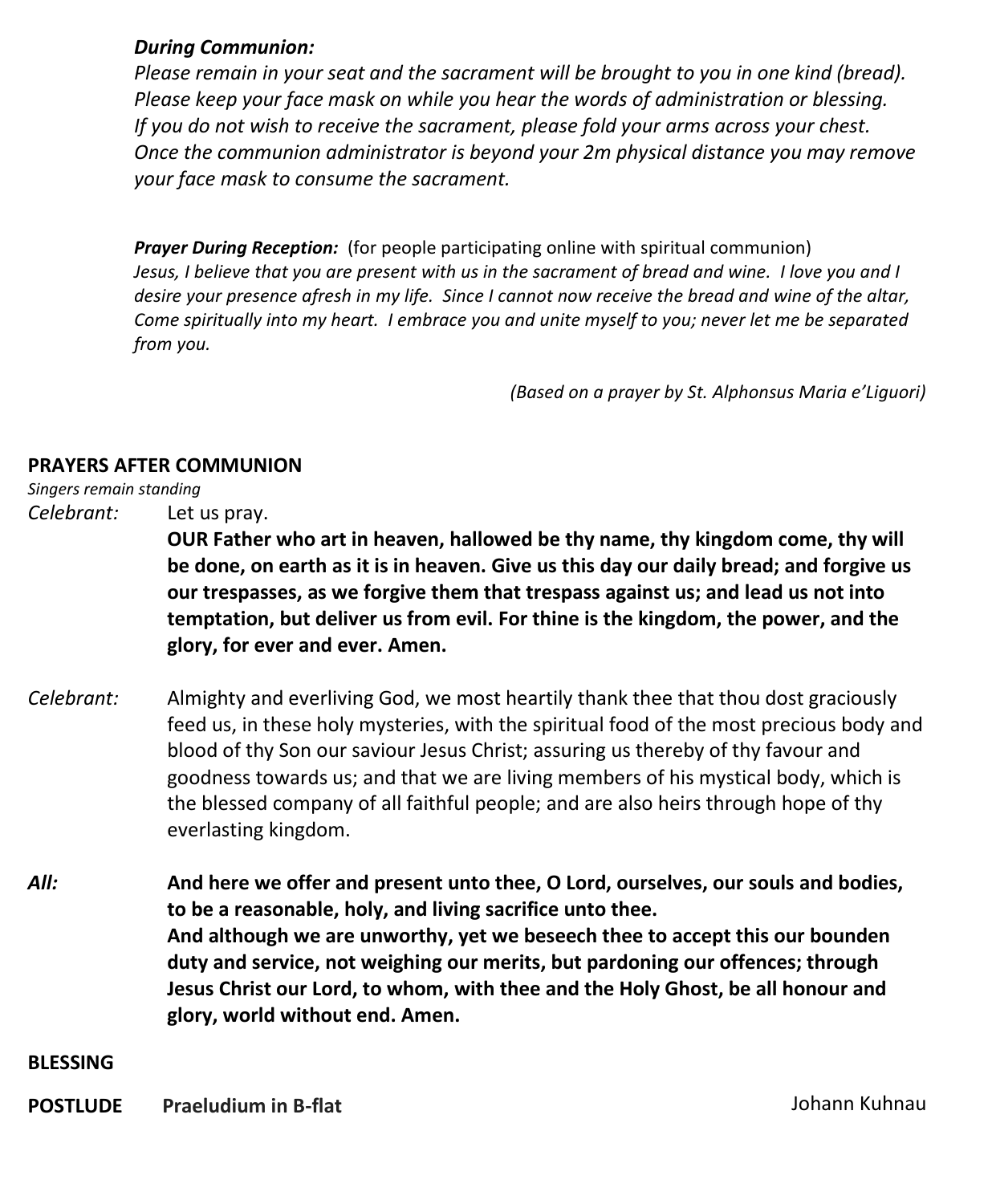#### *During Communion:*

*Please remain in your seat and the sacrament will be brought to you in one kind (bread). Please keep your face mask on while you hear the words of administration or blessing. If you do not wish to receive the sacrament, please fold your arms across your chest. Once the communion administrator is beyond your 2m physical distance you may remove your face mask to consume the sacrament.*

*Prayer During Reception:* (for people participating online with spiritual communion) Jesus, I believe that you are present with us in the sacrament of bread and wine. I love you and I desire your presence afresh in my life. Since I cannot now receive the bread and wine of the altar, *Come spiritually into my heart. I embrace you and unite myself to you; never let me be separated from you.*

*(Based on a prayer by St. Alphonsus Maria e'Liguori)*

#### **PRAYERS AFTER COMMUNION**

*Singers remain standing*

*Celebrant:* Let us pray.

**OUR Father who art in heaven, hallowed be thy name, thy kingdom come, thy will be done, on earth as it is in heaven. Give us this day our daily bread; and forgive us our trespasses, as we forgive them that trespass against us; and lead us not into temptation, but deliver us from evil. For thine is the kingdom, the power, and the glory, for ever and ever. Amen.**

- *Celebrant:* Almighty and everliving God, we most heartily thank thee that thou dost graciously feed us, in these holy mysteries, with the spiritual food of the most precious body and blood of thy Son our saviour Jesus Christ; assuring us thereby of thy favour and goodness towards us; and that we are living members of his mystical body, which is the blessed company of all faithful people; and are also heirs through hope of thy everlasting kingdom.
- *All:* **And here we offer and present unto thee, O Lord, ourselves, our souls and bodies, to be a reasonable, holy, and living sacrifice unto thee. And although we are unworthy, yet we beseech thee to accept this our bounden duty and service, not weighing our merits, but pardoning our offences; through Jesus Christ our Lord, to whom, with thee and the Holy Ghost, be all honour and glory, world without end. Amen.**

**BLESSING**

**POSTLUDE** Praeludium in B-flat **COSTLUDE** Praeludium in B-flat **POSTLUDE**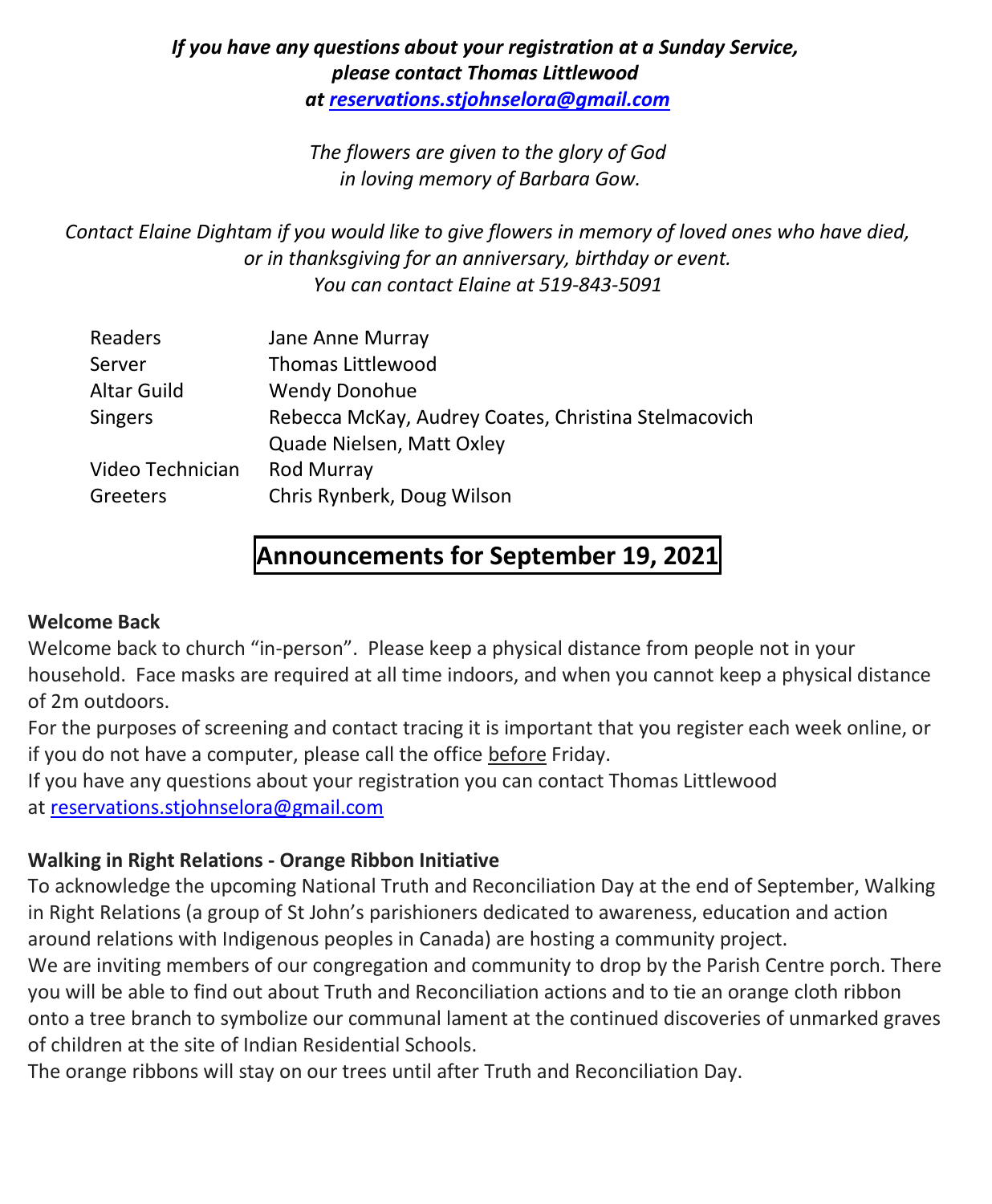#### *If you have any questions about your registration at a Sunday Service, please contact Thomas Littlewood at [reservations.stjohnselora@gmail.com](mailto:reservations.stjohnselora@gmail.com)*

*The flowers are given to the glory of God in loving memory of Barbara Gow.*

*Contact Elaine Dightam if you would like to give flowers in memory of loved ones who have died, or in thanksgiving for an anniversary, birthday or event. You can contact Elaine at 519-843-5091*

| Readers            | Jane Anne Murray                                     |
|--------------------|------------------------------------------------------|
| Server             | Thomas Littlewood                                    |
| <b>Altar Guild</b> | <b>Wendy Donohue</b>                                 |
| <b>Singers</b>     | Rebecca McKay, Audrey Coates, Christina Stelmacovich |
|                    | Quade Nielsen, Matt Oxley                            |
| Video Technician   | Rod Murray                                           |
| Greeters           | Chris Rynberk, Doug Wilson                           |
|                    |                                                      |

## **Announcements for September 19, 2021**

#### **Welcome Back**

Welcome back to church "in-person". Please keep a physical distance from people not in your household. Face masks are required at all time indoors, and when you cannot keep a physical distance of 2m outdoors.

For the purposes of screening and contact tracing it is important that you register each week online, or if you do not have a computer, please call the office before Friday.

If you have any questions about your registration you can contact Thomas Littlewood at [reservations.stjohnselora@gmail.com](mailto:reservations.stjohnselora@gmail.com)

#### **Walking in Right Relations - Orange Ribbon Initiative**

To acknowledge the upcoming National Truth and Reconciliation Day at the end of September, Walking in Right Relations (a group of St John's parishioners dedicated to awareness, education and action around relations with Indigenous peoples in Canada) are hosting a community project.

We are inviting members of our congregation and community to drop by the Parish Centre porch. There you will be able to find out about Truth and Reconciliation actions and to tie an orange cloth ribbon onto a tree branch to symbolize our communal lament at the continued discoveries of unmarked graves of children at the site of Indian Residential Schools.

The orange ribbons will stay on our trees until after Truth and Reconciliation Day.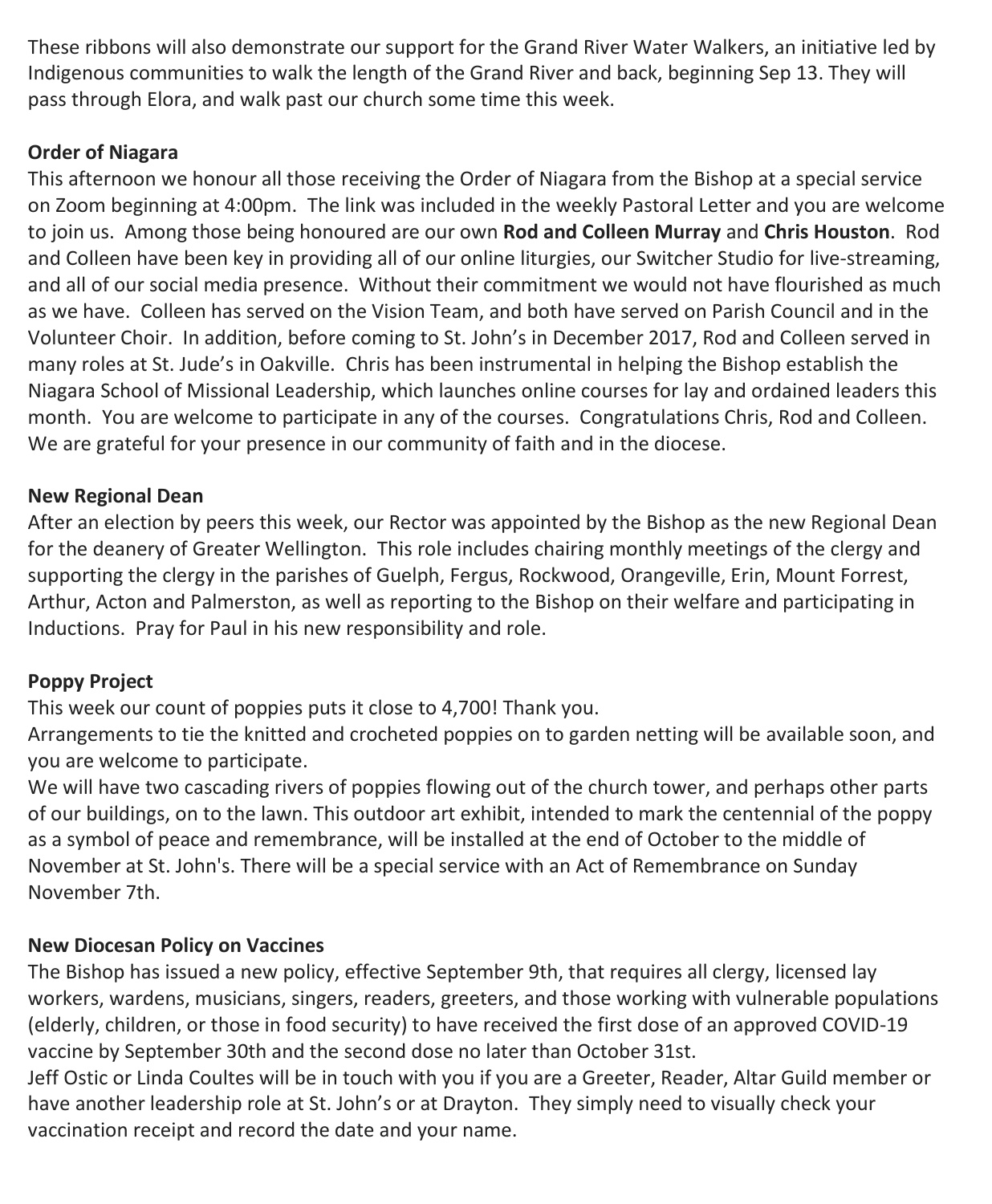These ribbons will also demonstrate our support for the Grand River Water Walkers, an initiative led by Indigenous communities to walk the length of the Grand River and back, beginning Sep 13. They will pass through Elora, and walk past our church some time this week.

#### **Order of Niagara**

This afternoon we honour all those receiving the Order of Niagara from the Bishop at a special service on Zoom beginning at 4:00pm. The link was included in the weekly Pastoral Letter and you are welcome to join us. Among those being honoured are our own **Rod and Colleen Murray** and **Chris Houston**. Rod and Colleen have been key in providing all of our online liturgies, our Switcher Studio for live-streaming, and all of our social media presence. Without their commitment we would not have flourished as much as we have. Colleen has served on the Vision Team, and both have served on Parish Council and in the Volunteer Choir. In addition, before coming to St. John's in December 2017, Rod and Colleen served in many roles at St. Jude's in Oakville. Chris has been instrumental in helping the Bishop establish the Niagara School of Missional Leadership, which launches online courses for lay and ordained leaders this month. You are welcome to participate in any of the courses. Congratulations Chris, Rod and Colleen. We are grateful for your presence in our community of faith and in the diocese.

#### **New Regional Dean**

After an election by peers this week, our Rector was appointed by the Bishop as the new Regional Dean for the deanery of Greater Wellington. This role includes chairing monthly meetings of the clergy and supporting the clergy in the parishes of Guelph, Fergus, Rockwood, Orangeville, Erin, Mount Forrest, Arthur, Acton and Palmerston, as well as reporting to the Bishop on their welfare and participating in Inductions. Pray for Paul in his new responsibility and role.

#### **Poppy Project**

This week our count of poppies puts it close to 4,700! Thank you.

Arrangements to tie the knitted and crocheted poppies on to garden netting will be available soon, and you are welcome to participate.

We will have two cascading rivers of poppies flowing out of the church tower, and perhaps other parts of our buildings, on to the lawn. This outdoor art exhibit, intended to mark the centennial of the poppy as a symbol of peace and remembrance, will be installed at the end of October to the middle of November at St. John's. There will be a special service with an Act of Remembrance on Sunday November 7th.

#### **New Diocesan Policy on Vaccines**

The Bishop has issued a new policy, effective September 9th, that requires all clergy, licensed lay workers, wardens, musicians, singers, readers, greeters, and those working with vulnerable populations (elderly, children, or those in food security) to have received the first dose of an approved COVID-19 vaccine by September 30th and the second dose no later than October 31st.

Jeff Ostic or Linda Coultes will be in touch with you if you are a Greeter, Reader, Altar Guild member or have another leadership role at St. John's or at Drayton. They simply need to visually check your vaccination receipt and record the date and your name.